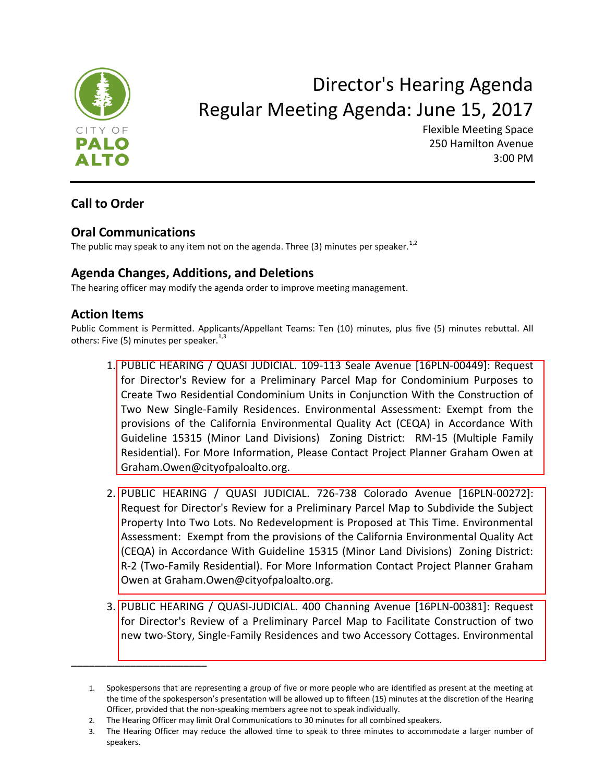

# Director's Hearing Agenda Regular Meeting Agenda: June 15, 2017

Flexible Meeting Space 250 Hamilton Avenue 3:00 PM

## **Call to Order**

### **Oral Communications**

\_\_\_\_\_\_\_\_\_\_\_\_\_\_\_\_\_\_\_\_\_\_\_

The public may speak to any item not on the agenda. Three (3) minutes per speaker.<sup>1,2</sup>

### **Agenda Changes, Additions, and Deletions**

The hearing officer may modify the agenda order to improve meeting management.

#### **Action Items**

Public Comment is Permitted. Applicants/Appellant Teams: Ten (10) minutes, plus five (5) minutes rebuttal. All others: Five (5) minutes per speaker.<sup>1,3</sup>

- 1. PUBLIC HEARING / QUASI JUDICIAL. 109-113 Seale Avenue [16PLN-00449]: Request for Director's Review for a Preliminary Parcel Map for Condominium Purposes to Create Two Residential Condominium Units in Conjunction With the Construction of Two New Single-Family Residences. Environmental Assessment: Exempt from the provisions of the California Environmental Quality Act (CEQA) in Accordance With [Guideline 15315 \(Minor Land Divisions\) Zoning District: RM-15 \(Multiple Family](https://www.cityofpaloalto.org/civicax/filebank/blobdload.aspx?BlobID=58282)  Residential). For More Information, Please Contact Project Planner Graham Owen at Graham.Owen@cityofpaloalto.org.
- 2. [PUBLIC HEARING / QUASI JUDICIAL. 726-738 Colorado Avenue \[16PLN-00272\]:](https://www.cityofpaloalto.org/civicax/filebank/blobdload.aspx?BlobID=58283)  Request for Director's Review for a Preliminary Parcel Map to Subdivide the Subject Property Into Two Lots. No Redevelopment is Proposed at This Time. Environmental Assessment: Exempt from the provisions of the California Environmental Quality Act (CEQA) in Accordance With Guideline 15315 (Minor Land Divisions) Zoning District: R-2 (Two-Family Residential). For More Information Contact Project Planner Graham Owen at Graham.Owen@cityofpaloalto.org.
- 3. [PUBLIC HEARING / QUASI-JUDICIAL. 400 Channing Avenue \[16PLN-00381\]: Request](https://www.cityofpaloalto.org/civicax/filebank/blobdload.aspx?BlobID=58284)  for Director's Review of a Preliminary Parcel Map to Facilitate Construction of two new two-Story, Single-Family Residences and two Accessory Cottages. Environmental

<sup>1.</sup> Spokespersons that are representing a group of five or more people who are identified as present at the meeting at the time of the spokesperson's presentation will be allowed up to fifteen (15) minutes at the discretion of the Hearing Officer, provided that the non-speaking members agree not to speak individually.

<sup>2.</sup> The Hearing Officer may limit Oral Communications to 30 minutes for all combined speakers.

<sup>3.</sup> The Hearing Officer may reduce the allowed time to speak to three minutes to accommodate a larger number of speakers.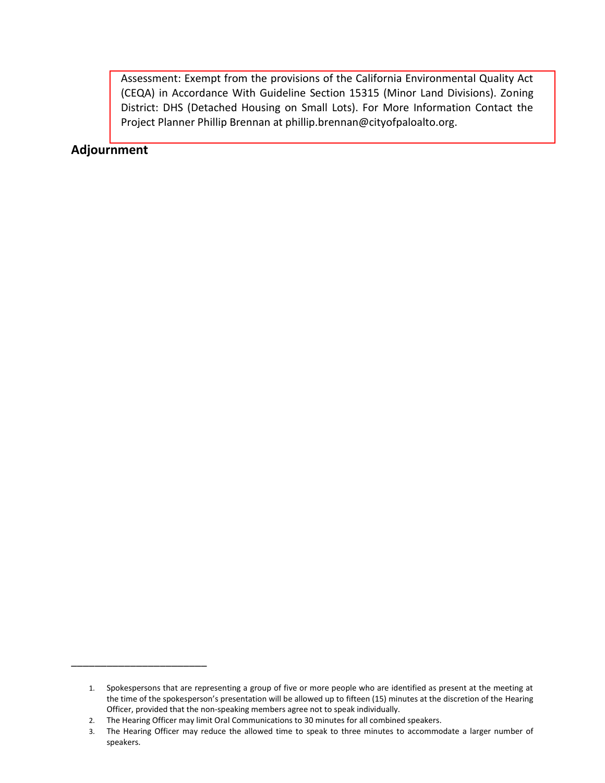Assessment: Exempt from the provisions of the California Environmental Quality Act [\(CEQA\) in Accordance With Guideline Section 15315 \(Minor Land Divisions\). Zoning](https://www.cityofpaloalto.org/civicax/filebank/blobdload.aspx?BlobID=58284)  District: DHS (Detached Housing on Small Lots). For More Information Contact the Project Planner Phillip Brennan at phillip.brennan@cityofpaloalto.org.

#### **Adjournment**

\_\_\_\_\_\_\_\_\_\_\_\_\_\_\_\_\_\_\_\_\_\_\_

<sup>1.</sup> Spokespersons that are representing a group of five or more people who are identified as present at the meeting at the time of the spokesperson's presentation will be allowed up to fifteen (15) minutes at the discretion of the Hearing Officer, provided that the non-speaking members agree not to speak individually.

<sup>2.</sup> The Hearing Officer may limit Oral Communications to 30 minutes for all combined speakers.

<sup>3.</sup> The Hearing Officer may reduce the allowed time to speak to three minutes to accommodate a larger number of speakers.